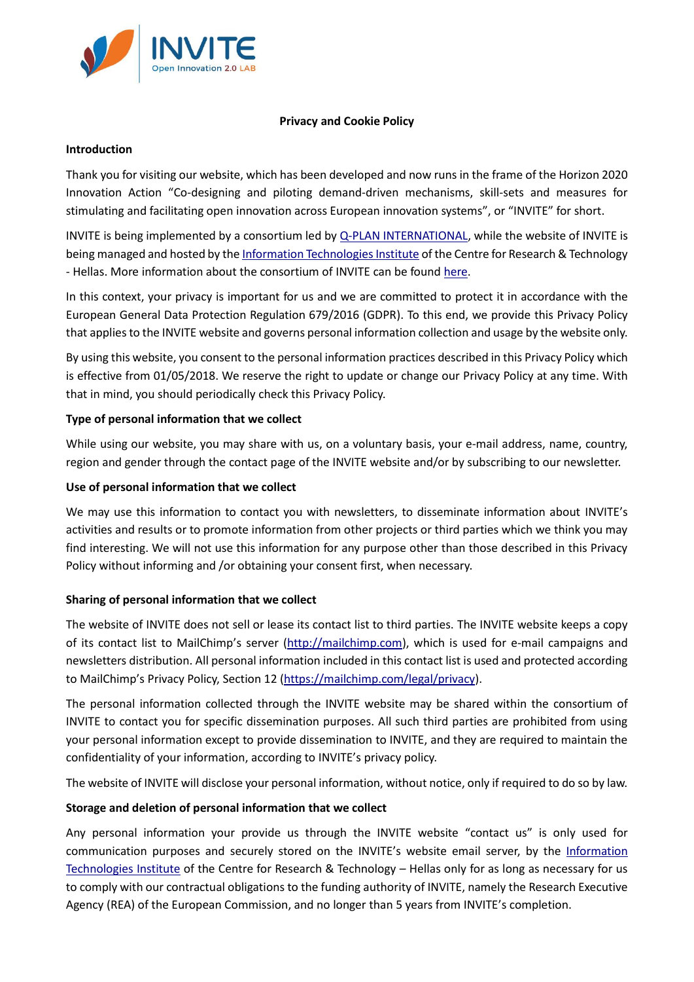

## **Privacy and Cookie Policy**

### **Introduction**

Thank you for visiting our website, which has been developed and now runs in the frame of the Horizon 2020 Innovation Action "Co-designing and piloting demand-driven mechanisms, skill-sets and measures for stimulating and facilitating open innovation across European innovation systems", or "INVITE" for short.

INVITE is being implemented by a consortium led b[y Q-PLAN INTERNATIONAL,](https://qplan-intl.com/) while the website of INVITE is being managed and hosted by the [Information Technologies Institute](http://www.iti.gr/iti/index.html) of the Centre for Research & Technology - Hellas. More information about the consortium of INVITE can be foun[d here.](http://invite-project.eu/content/partners)

In this context, your privacy is important for us and we are committed to protect it in accordance with the European General Data Protection Regulation 679/2016 (GDPR). To this end, we provide this Privacy Policy that applies to the INVITE website and governs personal information collection and usage by the website only.

By using this website, you consent to the personal information practices described in this Privacy Policy which is effective from 01/05/2018. We reserve the right to update or change our Privacy Policy at any time. With that in mind, you should periodically check this Privacy Policy.

# **Type of personal information that we collect**

While using our website, you may share with us, on a voluntary basis, your e-mail address, name, country, region and gender through the contact page of the INVITE website and/or by subscribing to our newsletter.

# **Use of personal information that we collect**

We may use this information to contact you with newsletters, to disseminate information about INVITE's activities and results or to promote information from other projects or third parties which we think you may find interesting. We will not use this information for any purpose other than those described in this Privacy Policy without informing and /or obtaining your consent first, when necessary.

# **Sharing of personal information that we collect**

The website of INVITE does not sell or lease its contact list to third parties. The INVITE website keeps a copy of its contact list to MailChimp's server [\(http://mailchimp.com\)](http://mailchimp.com/), which is used for e-mail campaigns and newsletters distribution. All personal information included in this contact list is used and protected according to MailChimp's Privacy Policy, Section 12 [\(https://mailchimp.com/legal/privacy\)](https://mailchimp.com/legal/privacy/?_ga=2.44320676.1222147038.1526543225-1743229990.1516176062&_gac=1.159322696.1526543531.Cj0KCQjw0PTXBRCGARIsAKNYfG0SelkX2vV8E4Y9A68oJWdPdctKXskCgMki-72ZaMSBqBw_thB3orYaAoIhEALw_wcB).

The personal information collected through the INVITE website may be shared within the consortium of INVITE to contact you for specific dissemination purposes. All such third parties are prohibited from using your personal information except to provide dissemination to INVITE, and they are required to maintain the confidentiality of your information, according to INVITE's privacy policy.

The website of INVITE will disclose your personal information, without notice, only if required to do so by law.

# **Storage and deletion of personal information that we collect**

Any personal information your provide us through the INVITE website "contact us" is only used for communication purposes and securely stored on the INVITE's website email server, by the [Information](http://www.iti.gr/iti/index.html)  [Technologies Institute](http://www.iti.gr/iti/index.html) of the Centre for Research & Technology – Hellas only for as long as necessary for us to comply with our contractual obligations to the funding authority of INVITE, namely the Research Executive Agency (REA) of the European Commission, and no longer than 5 years from INVITE's completion.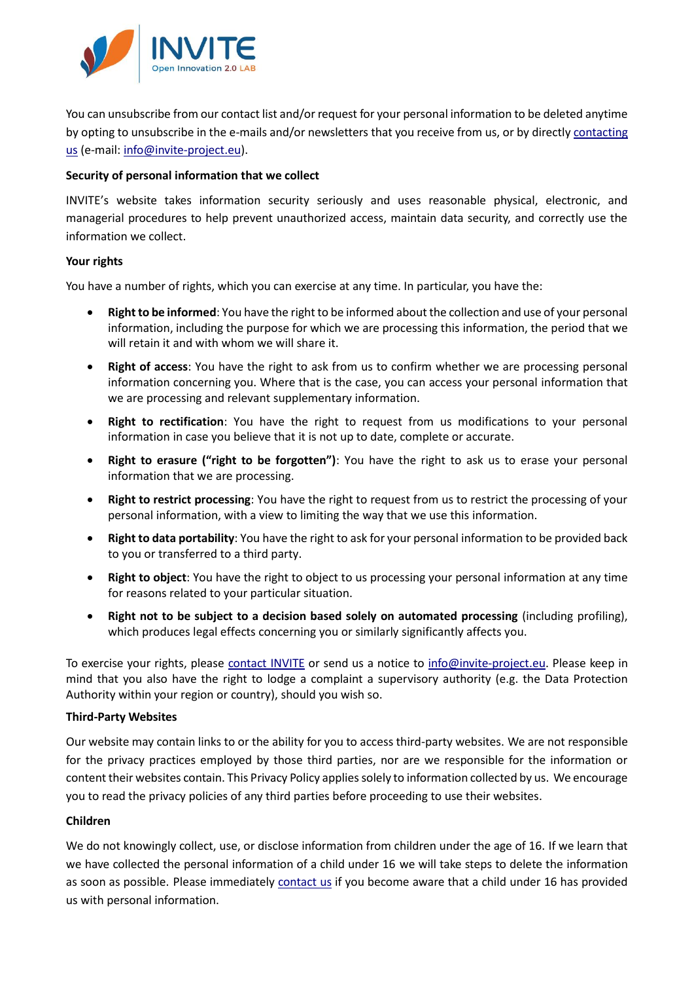

You can unsubscribe from our contact list and/or request for your personal information to be deleted anytime by opting to unsubscribe in the e-mails and/or newsletters that you receive from us, or by directly [contacting](http://invite-project.eu/contact)  [us](http://invite-project.eu/contact) (e-mail: [info@invite-project.eu\)](mailto:info@invite-project.eu).

### **Security of personal information that we collect**

INVITE's website takes information security seriously and uses reasonable physical, electronic, and managerial procedures to help prevent unauthorized access, maintain data security, and correctly use the information we collect.

#### **Your rights**

You have a number of rights, which you can exercise at any time. In particular, you have the:

- **Right to be informed**: You have the right to be informed about the collection and use of your personal information, including the purpose for which we are processing this information, the period that we will retain it and with whom we will share it.
- **Right of access**: You have the right to ask from us to confirm whether we are processing personal information concerning you. Where that is the case, you can access your personal information that we are processing and relevant supplementary information.
- **Right to rectification**: You have the right to request from us modifications to your personal information in case you believe that it is not up to date, complete or accurate.
- **Right to erasure ("right to be forgotten")**: You have the right to ask us to erase your personal information that we are processing.
- **Right to restrict processing**: You have the right to request from us to restrict the processing of your personal information, with a view to limiting the way that we use this information.
- **Right to data portability**: You have the right to ask for your personal information to be provided back to you or transferred to a third party.
- **Right to object**: You have the right to object to us processing your personal information at any time for reasons related to your particular situation.
- **Right not to be subject to a decision based solely on automated processing** (including profiling), which produces legal effects concerning you or similarly significantly affects you.

To exercise your rights, please [contact INVITE](http://invite-project.eu/contact) or send us a notice to [info@invite-project.eu.](mailto:info@invite-project.eu) Please keep in mind that you also have the right to lodge a complaint a supervisory authority (e.g. the Data Protection Authority within your region or country), should you wish so.

#### **Third-Party Websites**

Our website may contain links to or the ability for you to access third-party websites. We are not responsible for the privacy practices employed by those third parties, nor are we responsible for the information or content their websites contain. This Privacy Policy applies solely to information collected by us. We encourage you to read the privacy policies of any third parties before proceeding to use their websites.

#### **Children**

We do not knowingly collect, use, or disclose information from children under the age of 16. If we learn that we have collected the personal information of a child under 16 we will take steps to delete the information as soon as possible. Please immediately [contact us](http://invite-project.eu/contact) if you become aware that a child under 16 has provided us with personal information.